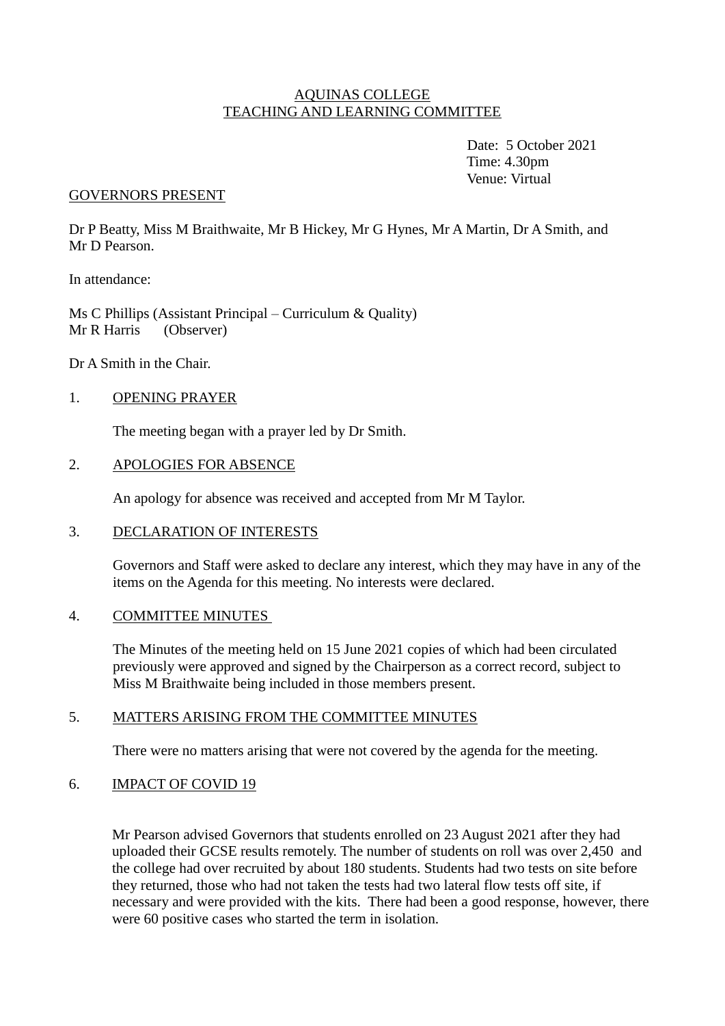### AQUINAS COLLEGE TEACHING AND LEARNING COMMITTEE

Date: 5 October 2021 Time: 4.30pm Venue: Virtual

### GOVERNORS PRESENT

Dr P Beatty, Miss M Braithwaite, Mr B Hickey, Mr G Hynes, Mr A Martin, Dr A Smith, and Mr D Pearson.

In attendance:

Ms C Phillips (Assistant Principal – Curriculum & Quality) Mr R Harris (Observer)

Dr A Smith in the Chair.

### 1. OPENING PRAYER

The meeting began with a prayer led by Dr Smith.

### 2. APOLOGIES FOR ABSENCE

An apology for absence was received and accepted from Mr M Taylor.

#### 3. DECLARATION OF INTERESTS

Governors and Staff were asked to declare any interest, which they may have in any of the items on the Agenda for this meeting. No interests were declared.

#### 4. COMMITTEE MINUTES

The Minutes of the meeting held on 15 June 2021 copies of which had been circulated previously were approved and signed by the Chairperson as a correct record, subject to Miss M Braithwaite being included in those members present.

#### 5. MATTERS ARISING FROM THE COMMITTEE MINUTES

There were no matters arising that were not covered by the agenda for the meeting.

### 6. IMPACT OF COVID 19

Mr Pearson advised Governors that students enrolled on 23 August 2021 after they had uploaded their GCSE results remotely. The number of students on roll was over 2,450 and the college had over recruited by about 180 students. Students had two tests on site before they returned, those who had not taken the tests had two lateral flow tests off site, if necessary and were provided with the kits. There had been a good response, however, there were 60 positive cases who started the term in isolation.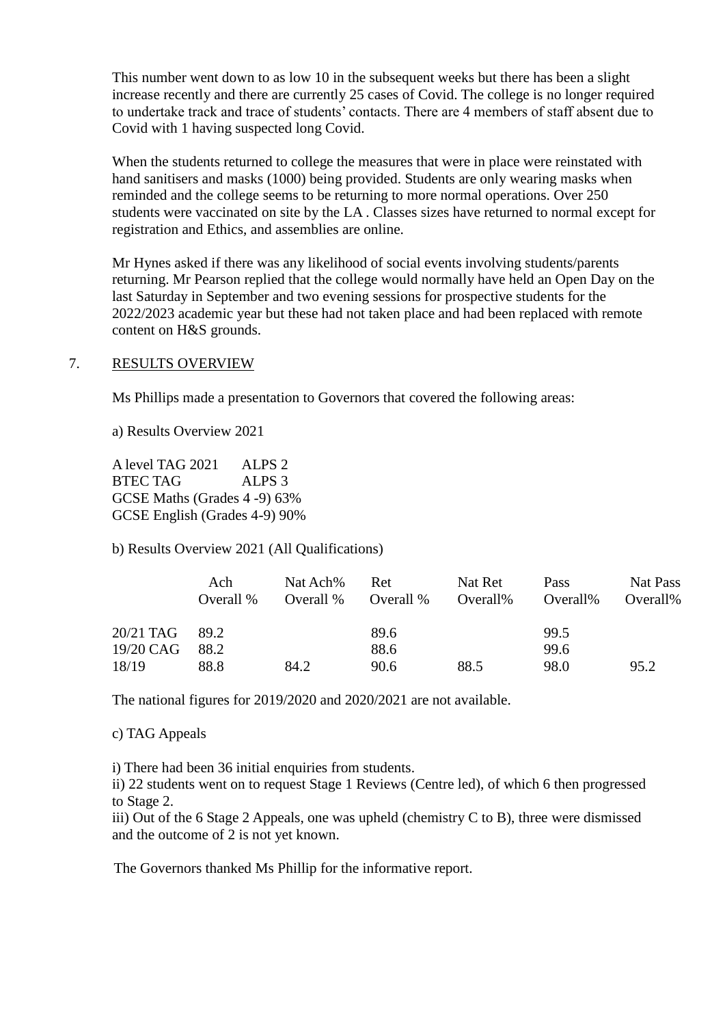This number went down to as low 10 in the subsequent weeks but there has been a slight increase recently and there are currently 25 cases of Covid. The college is no longer required to undertake track and trace of students' contacts. There are 4 members of staff absent due to Covid with 1 having suspected long Covid.

When the students returned to college the measures that were in place were reinstated with hand sanitisers and masks (1000) being provided. Students are only wearing masks when reminded and the college seems to be returning to more normal operations. Over 250 students were vaccinated on site by the LA . Classes sizes have returned to normal except for registration and Ethics, and assemblies are online.

Mr Hynes asked if there was any likelihood of social events involving students/parents returning. Mr Pearson replied that the college would normally have held an Open Day on the last Saturday in September and two evening sessions for prospective students for the 2022/2023 academic year but these had not taken place and had been replaced with remote content on H&S grounds.

### 7. RESULTS OVERVIEW

Ms Phillips made a presentation to Governors that covered the following areas:

a) Results Overview 2021

A level TAG 2021 ALPS 2 BTEC TAG ALPS 3 GCSE Maths (Grades 4 -9) 63% GCSE English (Grades 4-9) 90%

b) Results Overview 2021 (All Qualifications)

|                    | Ach<br>Overall % | Nat Ach%<br>Overall % | Ret<br>Overall % | Nat Ret<br>Overall% | Pass<br>Overall% | Nat Pass<br>Overall% |
|--------------------|------------------|-----------------------|------------------|---------------------|------------------|----------------------|
| $20/21$ TAG $89.2$ |                  |                       | 89.6             |                     | 99.5             |                      |
| 19/20 CAG          | 88.2             |                       | 88.6             |                     | 99.6             |                      |
| 18/19              | 88.8             | 84.2                  | 90.6             | 88.5                | 98.0             | 95.2                 |

The national figures for 2019/2020 and 2020/2021 are not available.

c) TAG Appeals

i) There had been 36 initial enquiries from students.

ii) 22 students went on to request Stage 1 Reviews (Centre led), of which 6 then progressed to Stage 2.

iii) Out of the 6 Stage 2 Appeals, one was upheld (chemistry C to B), three were dismissed and the outcome of 2 is not yet known.

The Governors thanked Ms Phillip for the informative report.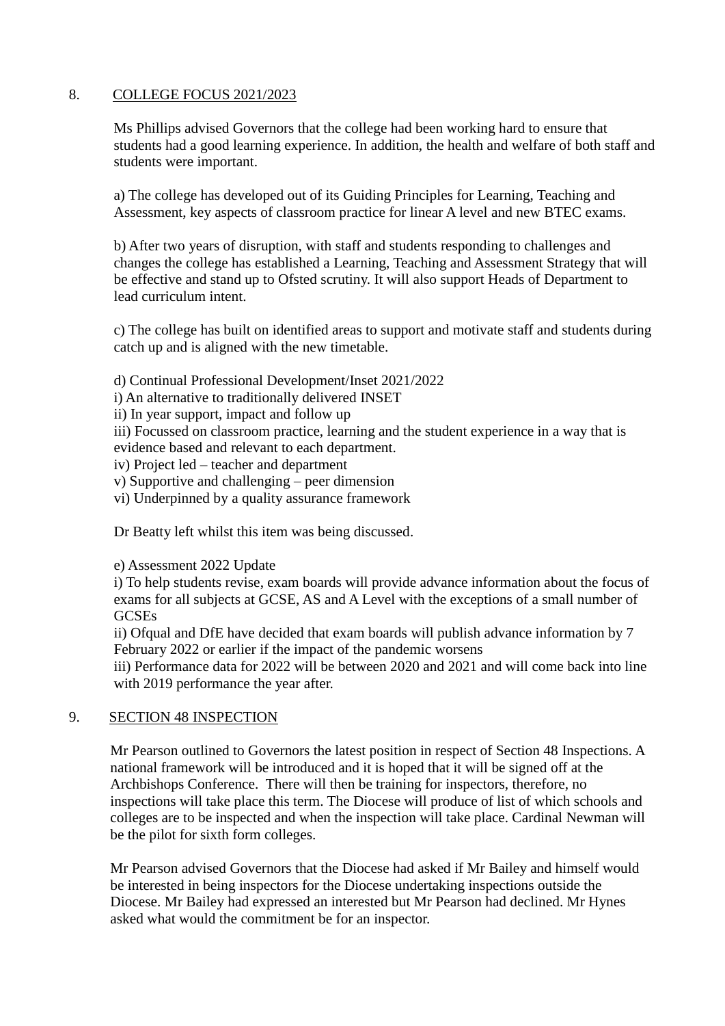# 8. COLLEGE FOCUS 2021/2023

Ms Phillips advised Governors that the college had been working hard to ensure that students had a good learning experience. In addition, the health and welfare of both staff and students were important.

a) The college has developed out of its Guiding Principles for Learning, Teaching and Assessment, key aspects of classroom practice for linear A level and new BTEC exams.

b) After two years of disruption, with staff and students responding to challenges and changes the college has established a Learning, Teaching and Assessment Strategy that will be effective and stand up to Ofsted scrutiny. It will also support Heads of Department to lead curriculum intent.

c) The college has built on identified areas to support and motivate staff and students during catch up and is aligned with the new timetable.

- d) Continual Professional Development/Inset 2021/2022
- i) An alternative to traditionally delivered INSET
- ii) In year support, impact and follow up
- iii) Focussed on classroom practice, learning and the student experience in a way that is
- evidence based and relevant to each department.
- iv) Project led teacher and department
- v) Supportive and challenging peer dimension
- vi) Underpinned by a quality assurance framework

Dr Beatty left whilst this item was being discussed.

### e) Assessment 2022 Update

i) To help students revise, exam boards will provide advance information about the focus of exams for all subjects at GCSE, AS and A Level with the exceptions of a small number of **GCSEs** 

ii) Ofqual and DfE have decided that exam boards will publish advance information by 7 February 2022 or earlier if the impact of the pandemic worsens

iii) Performance data for 2022 will be between 2020 and 2021 and will come back into line with 2019 performance the year after.

### 9. SECTION 48 INSPECTION

Mr Pearson outlined to Governors the latest position in respect of Section 48 Inspections. A national framework will be introduced and it is hoped that it will be signed off at the Archbishops Conference. There will then be training for inspectors, therefore, no inspections will take place this term. The Diocese will produce of list of which schools and colleges are to be inspected and when the inspection will take place. Cardinal Newman will be the pilot for sixth form colleges.

Mr Pearson advised Governors that the Diocese had asked if Mr Bailey and himself would be interested in being inspectors for the Diocese undertaking inspections outside the Diocese. Mr Bailey had expressed an interested but Mr Pearson had declined. Mr Hynes asked what would the commitment be for an inspector.